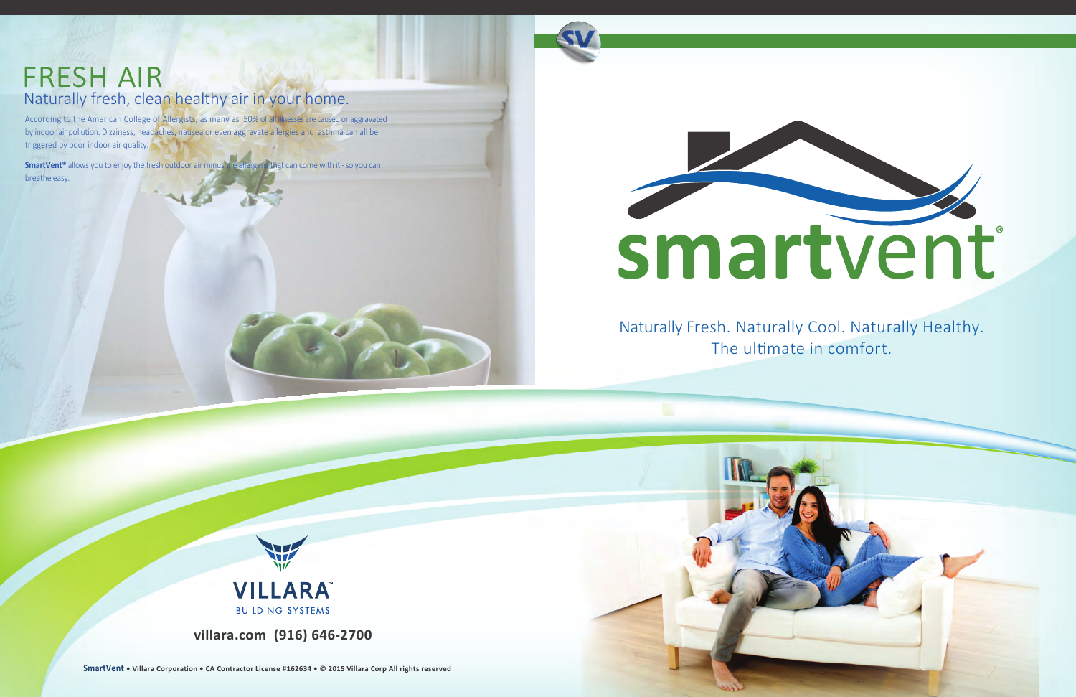**SmartVent • Villara Corporation • CA Contractor License #162634 • © 2015 Villara Corp All rights reserved** 

**villara.com (916) 646-2700**

Naturally Fresh. Naturally Cool. Naturally Healthy. The ultimate in comfort.



**SmartVent • Villara Corporation • CA Contractor License #162634 • © 2015 Villara Corp All rights reserved** 

# smartvent



**SmartVent<sup>®</sup>** allows you to enjoy the fresh outdoor air minus the allergens that can come with it - so you can breathe easy.



# FRESH AIR Naturally fresh, clean healthy air in your home.

According to the American College of Allergists, as many as 50% of all illnesses are caused or aggravated by indoor air pollution. Dizziness, headaches, nausea or even aggravate allergies and asthma can all be triggered by poor indoor air quality.